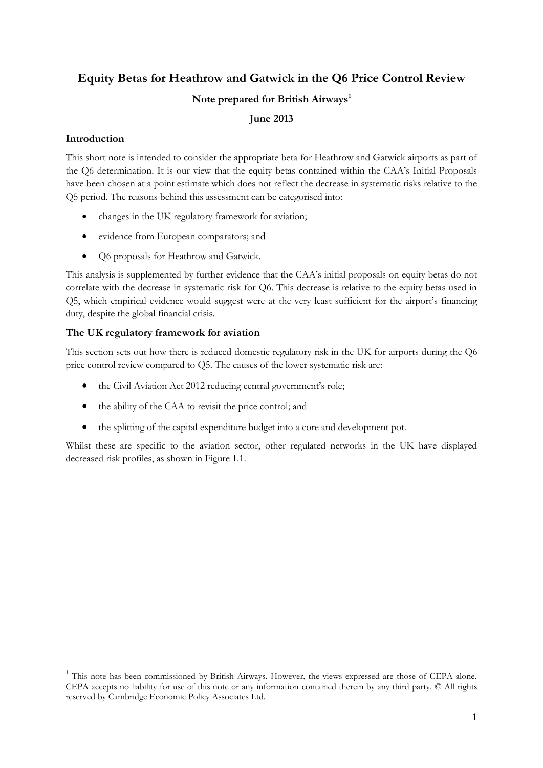# **Equity Betas for Heathrow and Gatwick in the Q6 Price Control Review Note prepared for British Airways<sup>1</sup>**

# **June 2013**

# **Introduction**

-

This short note is intended to consider the appropriate beta for Heathrow and Gatwick airports as part of the Q6 determination. It is our view that the equity betas contained within the CAA's Initial Proposals have been chosen at a point estimate which does not reflect the decrease in systematic risks relative to the Q5 period. The reasons behind this assessment can be categorised into:

- changes in the UK regulatory framework for aviation;
- evidence from European comparators; and
- O6 proposals for Heathrow and Gatwick.

This analysis is supplemented by further evidence that the CAA's initial proposals on equity betas do not correlate with the decrease in systematic risk for Q6. This decrease is relative to the equity betas used in Q5, which empirical evidence would suggest were at the very least sufficient for the airport's financing duty, despite the global financial crisis.

# **The UK regulatory framework for aviation**

This section sets out how there is reduced domestic regulatory risk in the UK for airports during the Q6 price control review compared to Q5. The causes of the lower systematic risk are:

- the Civil Aviation Act 2012 reducing central government's role;
- the ability of the CAA to revisit the price control; and
- the splitting of the capital expenditure budget into a core and development pot.

Whilst these are specific to the aviation sector, other regulated networks in the UK have displayed decreased risk profiles, as shown in Figure 1.1.

<sup>&</sup>lt;sup>1</sup> This note has been commissioned by British Airways. However, the views expressed are those of CEPA alone. CEPA accepts no liability for use of this note or any information contained therein by any third party. © All rights reserved by Cambridge Economic Policy Associates Ltd.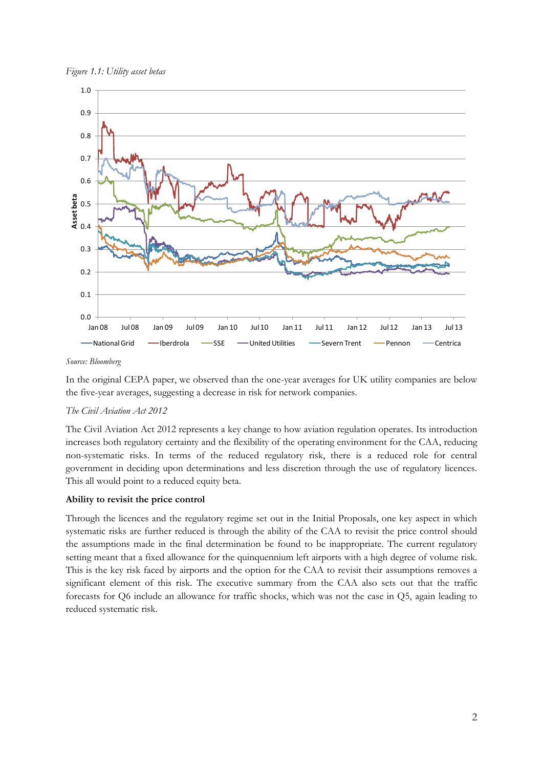



*Source: Bloomberg*

In the original CEPA paper, we observed than the one-year averages for UK utility companies are below the five-year averages, suggesting a decrease in risk for network companies.

#### *The Civil Aviation Act 2012*

The Civil Aviation Act 2012 represents a key change to how aviation regulation operates. Its introduction increases both regulatory certainty and the flexibility of the operating environment for the CAA, reducing non-systematic risks. In terms of the reduced regulatory risk, there is a reduced role for central government in deciding upon determinations and less discretion through the use of regulatory licences. This all would point to a reduced equity beta.

#### **Ability to revisit the price control**

Through the licences and the regulatory regime set out in the Initial Proposals, one key aspect in which systematic risks are further reduced is through the ability of the CAA to revisit the price control should the assumptions made in the final determination be found to be inappropriate. The current regulatory setting meant that a fixed allowance for the quinquennium left airports with a high degree of volume risk. This is the key risk faced by airports and the option for the CAA to revisit their assumptions removes a significant element of this risk. The executive summary from the CAA also sets out that the traffic forecasts for Q6 include an allowance for traffic shocks, which was not the case in Q5, again leading to reduced systematic risk.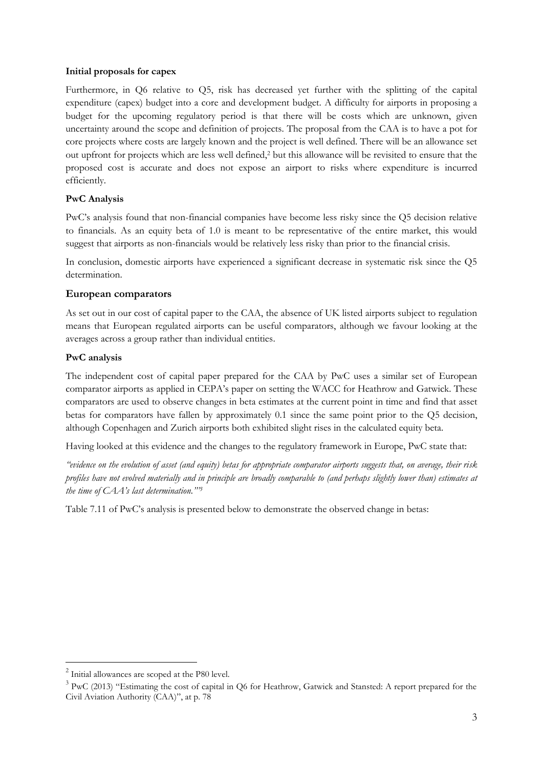#### **Initial proposals for capex**

Furthermore, in Q6 relative to Q5, risk has decreased yet further with the splitting of the capital expenditure (capex) budget into a core and development budget. A difficulty for airports in proposing a budget for the upcoming regulatory period is that there will be costs which are unknown, given uncertainty around the scope and definition of projects. The proposal from the CAA is to have a pot for core projects where costs are largely known and the project is well defined. There will be an allowance set out upfront for projects which are less well defined,<sup>2</sup> but this allowance will be revisited to ensure that the proposed cost is accurate and does not expose an airport to risks where expenditure is incurred efficiently.

# **PwC Analysis**

PwC's analysis found that non-financial companies have become less risky since the Q5 decision relative to financials. As an equity beta of 1.0 is meant to be representative of the entire market, this would suggest that airports as non-financials would be relatively less risky than prior to the financial crisis.

In conclusion, domestic airports have experienced a significant decrease in systematic risk since the Q5 determination.

# **European comparators**

As set out in our cost of capital paper to the CAA, the absence of UK listed airports subject to regulation means that European regulated airports can be useful comparators, although we favour looking at the averages across a group rather than individual entities.

# **PwC analysis**

The independent cost of capital paper prepared for the CAA by PwC uses a similar set of European comparator airports as applied in CEPA's paper on setting the WACC for Heathrow and Gatwick. These comparators are used to observe changes in beta estimates at the current point in time and find that asset betas for comparators have fallen by approximately 0.1 since the same point prior to the Q5 decision, although Copenhagen and Zurich airports both exhibited slight rises in the calculated equity beta.

Having looked at this evidence and the changes to the regulatory framework in Europe, PwC state that:

*"evidence on the evolution of asset (and equity) betas for appropriate comparator airports suggests that, on average, their risk profiles have not evolved materially and in principle are broadly comparable to (and perhaps slightly lower than) estimates at the time of CAA's last determination."' 3*

Table 7.11 of PwC's analysis is presented below to demonstrate the observed change in betas:

-

<sup>&</sup>lt;sup>2</sup> Initial allowances are scoped at the P80 level.

 $3$  PwC (2013) "Estimating the cost of capital in Q6 for Heathrow, Gatwick and Stansted: A report prepared for the Civil Aviation Authority (CAA)", at p. 78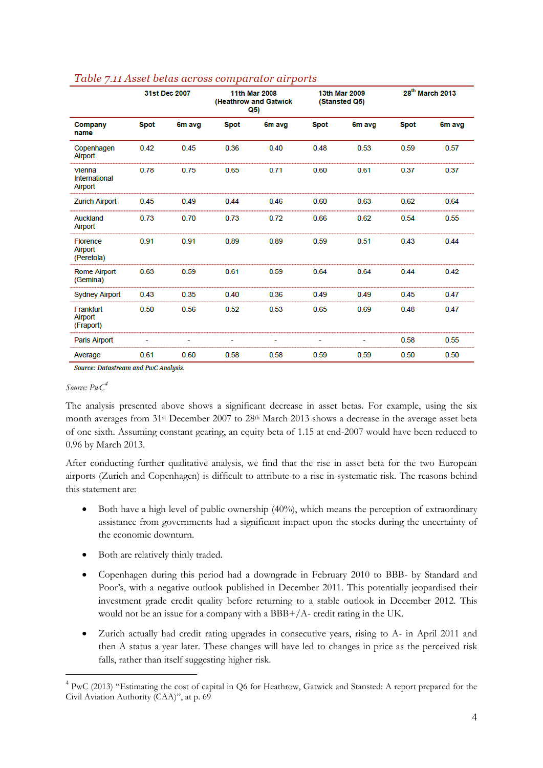|                                           |             | 31st Dec 2007 | 11th Mar 2008<br>(Heathrow and Gatwick<br>Q5) |        | <b>13th Mar 2009</b><br>(Stansted Q5) |        | 28 <sup>th</sup> March 2013 |        |
|-------------------------------------------|-------------|---------------|-----------------------------------------------|--------|---------------------------------------|--------|-----------------------------|--------|
| Company<br>name                           | <b>Spot</b> | 6m avg        | <b>Spot</b>                                   | 6m avg | <b>Spot</b>                           | 6m avg | <b>Spot</b>                 | 6m avg |
| Copenhagen<br>Airport                     | 0.42        | 0.45          | 0.36                                          | 0.40   | 0.48                                  | 0.53   | 0.59                        | 0.57   |
| Vienna<br><b>International</b><br>Airport | 0.78        | 0.75          | 0.65                                          | 0.71   | 0.60                                  | 0.61   | 0.37                        | 0.37   |
| <b>Zurich Airport</b>                     | 0.45        | 0.49          | 0.44                                          | 0.46   | 0.60                                  | 0.63   | 0.62                        | 0.64   |
| Auckland<br>Airport                       | 0.73        | 0.70          | 0.73                                          | 0.72   | 0.66                                  | 0.62   | 0.54                        | 0.55   |
| <b>Florence</b><br>Airport<br>(Peretola)  | 0.91        | 0.91          | 0.89                                          | 0.89   | 0.59                                  | 0.51   | 0.43                        | 0.44   |
| <b>Rome Airport</b><br>(Gemina)           | 0.63        | 0.59          | 0.61                                          | 0.59   | 0.64                                  | 0.64   | 0.44                        | 0.42   |
| <b>Sydney Airport</b>                     | 0.43        | 0.35          | 0.40                                          | 0.36   | 0.49                                  | 0.49   | 0.45                        | 0.47   |
| Frankfurt<br>Airport<br>(Fraport)         | 0.50        | 0.56          | 0.52                                          | 0.53   | 0.65                                  | 0.69   | 0.48                        | 0.47   |
| Paris Airport                             |             |               |                                               |        |                                       |        | 0.58                        | 0.55   |
| Average                                   | 0.61        | 0.60          | 0.58                                          | 0.58   | 0.59                                  | 0.59   | 0.50                        | 0.50   |

### Table 7.11 Asset betas across comparator airports

Source: Datastream and PwC Analysis.

#### *Source: PwC<sup>4</sup>*

-

The analysis presented above shows a significant decrease in asset betas. For example, using the six month averages from 31<sup>st</sup> December 2007 to 28<sup>th</sup> March 2013 shows a decrease in the average asset beta of one sixth. Assuming constant gearing, an equity beta of 1.15 at end-2007 would have been reduced to 0.96 by March 2013.

After conducting further qualitative analysis, we find that the rise in asset beta for the two European airports (Zurich and Copenhagen) is difficult to attribute to a rise in systematic risk. The reasons behind this statement are:

- Both have a high level of public ownership (40%), which means the perception of extraordinary assistance from governments had a significant impact upon the stocks during the uncertainty of the economic downturn.
- Both are relatively thinly traded.
- Copenhagen during this period had a downgrade in February 2010 to BBB- by Standard and Poor's, with a negative outlook published in December 2011. This potentially jeopardised their investment grade credit quality before returning to a stable outlook in December 2012. This would not be an issue for a company with a BBB+/A- credit rating in the UK.
- Zurich actually had credit rating upgrades in consecutive years, rising to A- in April 2011 and then A status a year later. These changes will have led to changes in price as the perceived risk falls, rather than itself suggesting higher risk.

<sup>&</sup>lt;sup>4</sup> PwC (2013) "Estimating the cost of capital in Q6 for Heathrow, Gatwick and Stansted: A report prepared for the Civil Aviation Authority (CAA)", at p. 69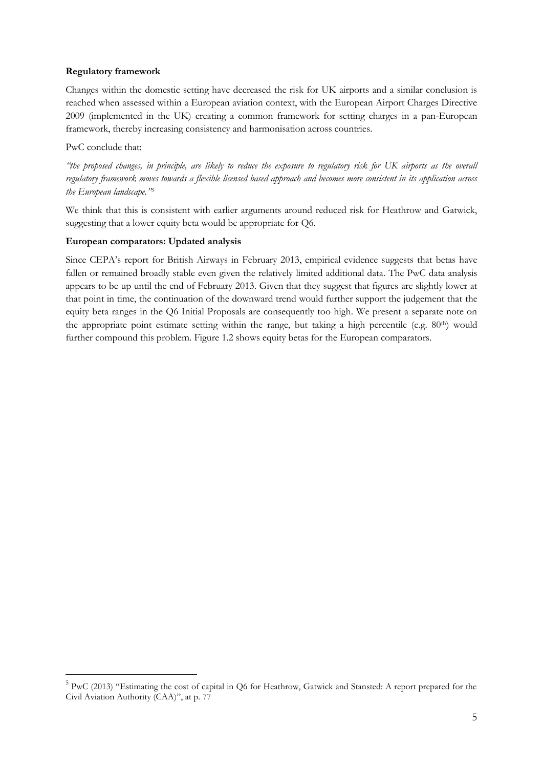## **Regulatory framework**

Changes within the domestic setting have decreased the risk for UK airports and a similar conclusion is reached when assessed within a European aviation context, with the European Airport Charges Directive 2009 (implemented in the UK) creating a common framework for setting charges in a pan-European framework, thereby increasing consistency and harmonisation across countries.

## PwC conclude that:

-

*"the proposed changes, in principle, are likely to reduce the exposure to regulatory risk for UK airports as the overall regulatory framework moves towards a flexible licensed based approach and becomes more consistent in its application across the European landscape." 5*

We think that this is consistent with earlier arguments around reduced risk for Heathrow and Gatwick, suggesting that a lower equity beta would be appropriate for Q6.

### **European comparators: Updated analysis**

Since CEPA's report for British Airways in February 2013, empirical evidence suggests that betas have fallen or remained broadly stable even given the relatively limited additional data. The PwC data analysis appears to be up until the end of February 2013. Given that they suggest that figures are slightly lower at that point in time, the continuation of the downward trend would further support the judgement that the equity beta ranges in the Q6 Initial Proposals are consequently too high. We present a separate note on the appropriate point estimate setting within the range, but taking a high percentile (e.g. 80th) would further compound this problem. Figure 1.2 shows equity betas for the European comparators.

<sup>&</sup>lt;sup>5</sup> PwC (2013) "Estimating the cost of capital in Q6 for Heathrow, Gatwick and Stansted: A report prepared for the Civil Aviation Authority (CAA)", at p. 77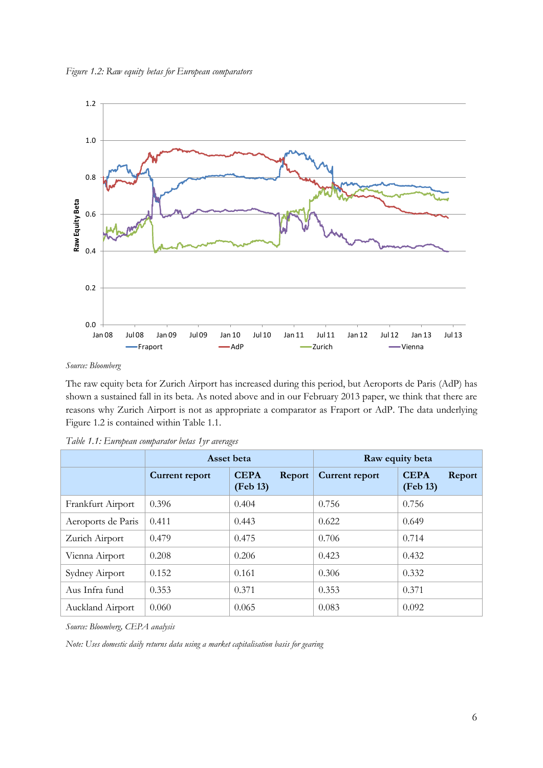

*Source: Bloomberg*

The raw equity beta for Zurich Airport has increased during this period, but Aeroports de Paris (AdP) has shown a sustained fall in its beta. As noted above and in our February 2013 paper, we think that there are reasons why Zurich Airport is not as appropriate a comparator as Fraport or AdP. The data underlying Figure 1.2 is contained within Table 1.1.

|                    | Asset beta     |                                   | Raw equity beta |                                   |  |
|--------------------|----------------|-----------------------------------|-----------------|-----------------------------------|--|
|                    | Current report | <b>CEPA</b><br>Report<br>(Feb 13) | Current report  | <b>CEPA</b><br>Report<br>(Feb 13) |  |
| Frankfurt Airport  | 0.396          | 0.404                             | 0.756           | 0.756                             |  |
| Aeroports de Paris | 0.411          | 0.443                             | 0.622           | 0.649                             |  |
| Zurich Airport     | 0.479          | 0.475                             | 0.706           | 0.714                             |  |
| Vienna Airport     | 0.208          | 0.206                             | 0.423           | 0.432                             |  |
| Sydney Airport     | 0.152          | 0.161                             | 0.306           | 0.332                             |  |
| Aus Infra fund     | 0.353          | 0.371                             | 0.353           | 0.371                             |  |
| Auckland Airport   | 0.060          | 0.065                             | 0.083           | 0.092                             |  |

*Source: Bloomberg, CEPA analysis*

*Note: Uses domestic daily returns data using a market capitalisation basis for gearing*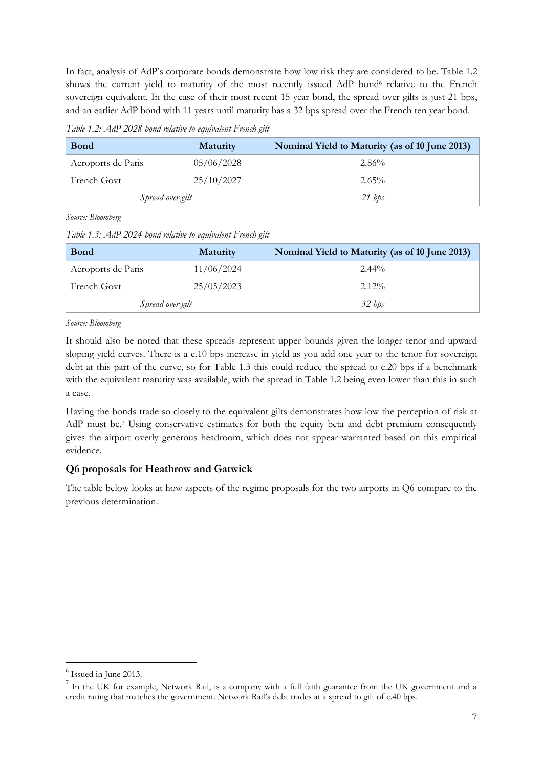In fact, analysis of AdP's corporate bonds demonstrate how low risk they are considered to be. Table 1.2 shows the current yield to maturity of the most recently issued AdP bond<sup>6</sup> relative to the French sovereign equivalent. In the case of their most recent 15 year bond, the spread over gilts is just 21 bps, and an earlier AdP bond with 11 years until maturity has a 32 bps spread over the French ten year bond.

*Table 1.2: AdP 2028 bond relative to equivalent French gilt*

| <b>Bond</b>        | <b>Maturity</b> | Nominal Yield to Maturity (as of 10 June 2013) |  |  |
|--------------------|-----------------|------------------------------------------------|--|--|
| Aeroports de Paris | 05/06/2028      | 2.86%                                          |  |  |
| French Govt        | 25/10/2027      | $2.65\%$                                       |  |  |
| Spread over gilt   |                 | $21$ bps                                       |  |  |

*Source: Bloomberg*

*Table 1.3: AdP 2024 bond relative to equivalent French gilt*

| <b>Bond</b>        | Maturity   | Nominal Yield to Maturity (as of 10 June 2013) |  |  |
|--------------------|------------|------------------------------------------------|--|--|
| Aeroports de Paris | 11/06/2024 | $2.44\%$                                       |  |  |
| French Govt        | 25/05/2023 | $2.12\%$                                       |  |  |
| Spread over gilt   |            | 32 bps                                         |  |  |

*Source: Bloomberg*

It should also be noted that these spreads represent upper bounds given the longer tenor and upward sloping yield curves. There is a c.10 bps increase in yield as you add one year to the tenor for sovereign debt at this part of the curve, so for Table 1.3 this could reduce the spread to c.20 bps if a benchmark with the equivalent maturity was available, with the spread in Table 1.2 being even lower than this in such a case.

Having the bonds trade so closely to the equivalent gilts demonstrates how low the perception of risk at AdP must be.<sup>7</sup> Using conservative estimates for both the equity beta and debt premium consequently gives the airport overly generous headroom, which does not appear warranted based on this empirical evidence.

# **Q6 proposals for Heathrow and Gatwick**

The table below looks at how aspects of the regime proposals for the two airports in Q6 compare to the previous determination.

-

<sup>6</sup> Issued in June 2013.

 $7$  In the UK for example, Network Rail, is a company with a full faith guarantee from the UK government and a credit rating that matches the government. Network Rail's debt trades at a spread to gilt of c.40 bps.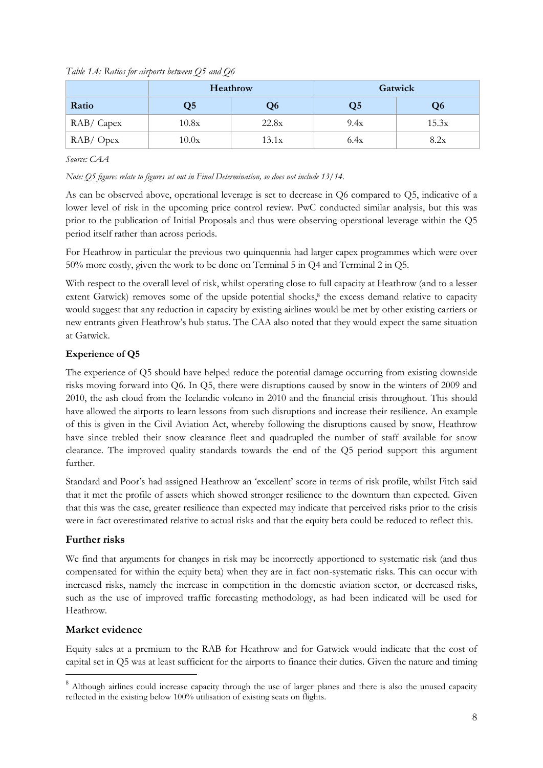|             |                | Heathrow | Gatwick |       |  |
|-------------|----------------|----------|---------|-------|--|
| Ratio       | Q <sub>5</sub> | Q6       | Q5      | Q6    |  |
| RAB/ Capex  | 10.8x          | 22.8x    | 9.4x    | 15.3x |  |
| $RAB/$ Opex | 10.0x          | 13.1x    | 6.4x    | 8.2x  |  |

*Table 1.4: Ratios for airports between Q5 and Q6*

*Source: CAA*

*Note: Q5 figures relate to figures set out in Final Determination, so does not include 13/14.*

As can be observed above, operational leverage is set to decrease in Q6 compared to Q5, indicative of a lower level of risk in the upcoming price control review. PwC conducted similar analysis, but this was prior to the publication of Initial Proposals and thus were observing operational leverage within the Q5 period itself rather than across periods.

For Heathrow in particular the previous two quinquennia had larger capex programmes which were over 50% more costly, given the work to be done on Terminal 5 in Q4 and Terminal 2 in Q5.

With respect to the overall level of risk, whilst operating close to full capacity at Heathrow (and to a lesser extent Gatwick) removes some of the upside potential shocks,<sup>8</sup> the excess demand relative to capacity would suggest that any reduction in capacity by existing airlines would be met by other existing carriers or new entrants given Heathrow's hub status. The CAA also noted that they would expect the same situation at Gatwick.

# **Experience of Q5**

The experience of Q5 should have helped reduce the potential damage occurring from existing downside risks moving forward into Q6. In Q5, there were disruptions caused by snow in the winters of 2009 and 2010, the ash cloud from the Icelandic volcano in 2010 and the financial crisis throughout. This should have allowed the airports to learn lessons from such disruptions and increase their resilience. An example of this is given in the Civil Aviation Act, whereby following the disruptions caused by snow, Heathrow have since trebled their snow clearance fleet and quadrupled the number of staff available for snow clearance. The improved quality standards towards the end of the Q5 period support this argument further.

Standard and Poor's had assigned Heathrow an 'excellent' score in terms of risk profile, whilst Fitch said that it met the profile of assets which showed stronger resilience to the downturn than expected. Given that this was the case, greater resilience than expected may indicate that perceived risks prior to the crisis were in fact overestimated relative to actual risks and that the equity beta could be reduced to reflect this.

# **Further risks**

We find that arguments for changes in risk may be incorrectly apportioned to systematic risk (and thus compensated for within the equity beta) when they are in fact non-systematic risks. This can occur with increased risks, namely the increase in competition in the domestic aviation sector, or decreased risks, such as the use of improved traffic forecasting methodology, as had been indicated will be used for Heathrow.

# **Market evidence**

-

Equity sales at a premium to the RAB for Heathrow and for Gatwick would indicate that the cost of capital set in Q5 was at least sufficient for the airports to finance their duties. Given the nature and timing

<sup>&</sup>lt;sup>8</sup> Although airlines could increase capacity through the use of larger planes and there is also the unused capacity reflected in the existing below 100% utilisation of existing seats on flights.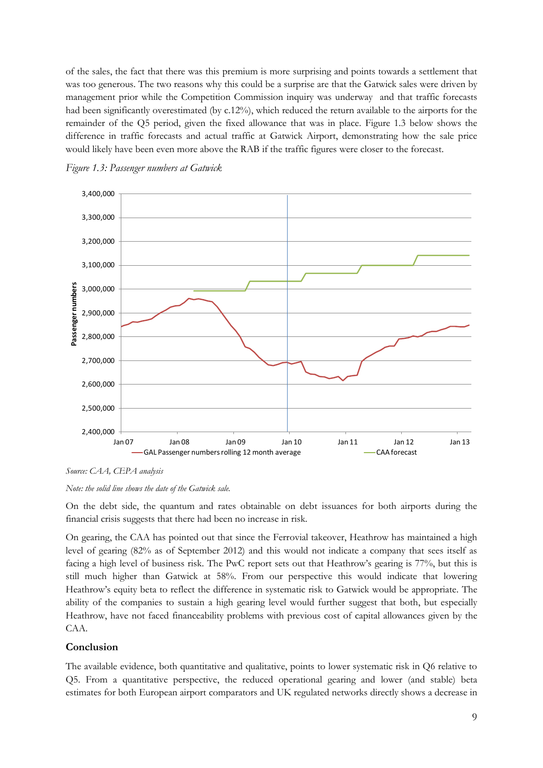of the sales, the fact that there was this premium is more surprising and points towards a settlement that was too generous. The two reasons why this could be a surprise are that the Gatwick sales were driven by management prior while the Competition Commission inquiry was underway and that traffic forecasts had been significantly overestimated (by c.12%), which reduced the return available to the airports for the remainder of the Q5 period, given the fixed allowance that was in place. Figure 1.3 below shows the difference in traffic forecasts and actual traffic at Gatwick Airport, demonstrating how the sale price would likely have been even more above the RAB if the traffic figures were closer to the forecast.





*Source: CAA, CEPA analysis*

*Note: the solid line shows the date of the Gatwick sale.*

On the debt side, the quantum and rates obtainable on debt issuances for both airports during the financial crisis suggests that there had been no increase in risk.

On gearing, the CAA has pointed out that since the Ferrovial takeover, Heathrow has maintained a high level of gearing (82% as of September 2012) and this would not indicate a company that sees itself as facing a high level of business risk. The PwC report sets out that Heathrow's gearing is 77%, but this is still much higher than Gatwick at 58%. From our perspective this would indicate that lowering Heathrow's equity beta to reflect the difference in systematic risk to Gatwick would be appropriate. The ability of the companies to sustain a high gearing level would further suggest that both, but especially Heathrow, have not faced financeability problems with previous cost of capital allowances given by the CAA.

#### **Conclusion**

The available evidence, both quantitative and qualitative, points to lower systematic risk in Q6 relative to Q5. From a quantitative perspective, the reduced operational gearing and lower (and stable) beta estimates for both European airport comparators and UK regulated networks directly shows a decrease in